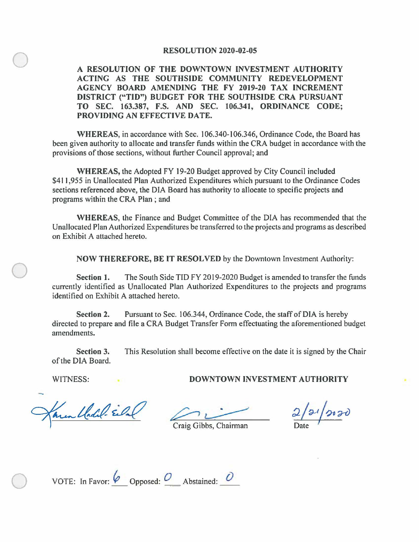## **RESOLUTION 2020-02-05**

**A RESOLUTION OF THE DOWNTOWN INVESTMENT AUTHORITY ACTING AS THE SOUTHSIDE COMMUNITY REDEVELOPMENT AGENCY BOARD AMENDING THE FY 2019-20 TAX INCREMENT DISTRICT ("TIO") BUDGET FOR THE SOUTHSIDE CRA PURSUANT TO SEC. 163.387, F.S. AND SEC. 106.341, ORDINANCE CODE; PROVIDING AN EFFECTIVE DATE.** 

**WHEREAS,** in accordance with Sec. 106.340-106.346, Ordinance Code, the Board has been given authority to allocate and transfer funds within the CRA budget in accordance with the provisions of those sections, without further Council approval; and

**WHEREAS,** the Adopted FY 19-20 Budget approved by City Council included \$411,955 in Unallocated Plan Authorized Expenditures which pursuant to the Ordinance Codes sections referenced above, the DIA Board has authority to allocate to specific projects and programs within the CRA Plan ; and

**WHEREAS,** the Finance and Budget Committee of the DIA has recommended that the Unallocated Plan Authorized Expenditures be transferred to the projects and programs as described on Exhibit A attached hereto.

**NOW THEREFORE, BE IT RESOLVED** by the Downtown Investment Authority:

**Section 1.** The South Side TIO FY 2019-2020 Budget is amended to transfer the funds currently identified as Unallocated Plan Authorized Expenditures to the projects and programs identified on Exhibit A attached hereto.

**Section 2.** Pursuant to Sec. 106.344, Ordinance Code, the staff of DIA is hereby directed to prepare and file a CRA Budget Transfer Form effectuating the aforementioned budget amendments.

**Section 3.** This Resolution shall become effective on the date it is signed by the Chair of the DIA Board.

 $\bigcirc$ 

 $\bigcirc$ 

en Chalel-Ela

WITNESS: **DOWNTOWN INVESTMENT AUTHORITY** 

 $21/2020$ Date <sup>1</sup>

Craig Gibbs, Chairman

VOTE: In Favor:  $\begin{pmatrix} 0 & \text{opposed:} & O \end{pmatrix}$  Abstained:  $\begin{pmatrix} 0 & \text{diag}(O) \end{pmatrix}$